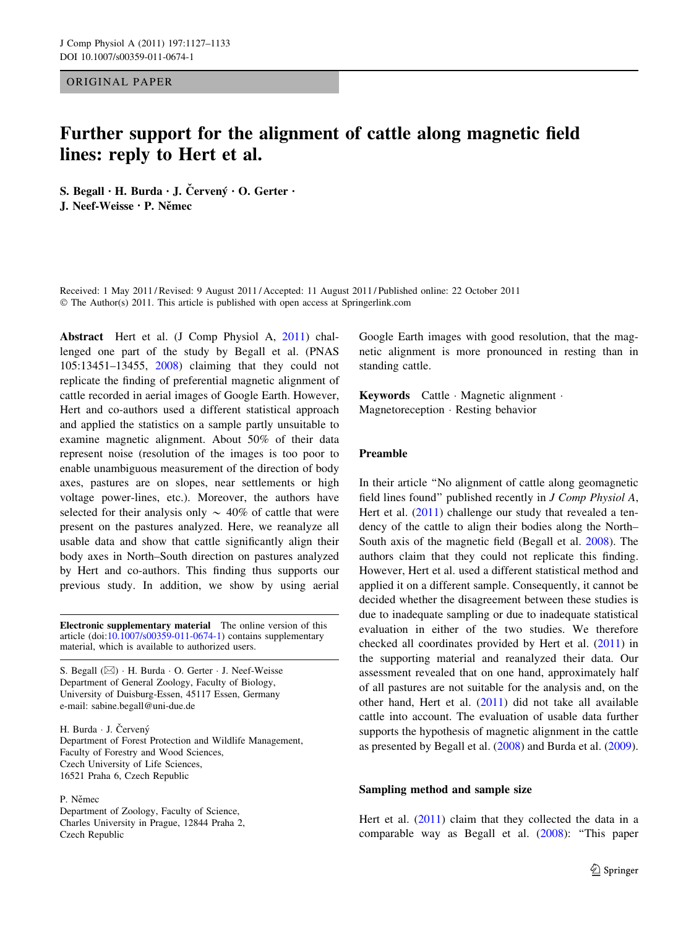ORIGINAL PAPER

# Further support for the alignment of cattle along magnetic field lines: reply to Hert et al.

S. Begall  $\cdot$  H. Burda  $\cdot$  J. Červený  $\cdot$  O. Gerter  $\cdot$ J. Neef-Weisse · P. Němec

Received: 1 May 2011 / Revised: 9 August 2011 / Accepted: 11 August 2011 / Published online: 22 October 2011 © The Author(s) 2011. This article is published with open access at Springerlink.com

Abstract Hert et al. (J Comp Physiol A, [2011\)](#page-6-0) challenged one part of the study by Begall et al. (PNAS 105:13451–13455, [2008](#page-6-0)) claiming that they could not replicate the finding of preferential magnetic alignment of cattle recorded in aerial images of Google Earth. However, Hert and co-authors used a different statistical approach and applied the statistics on a sample partly unsuitable to examine magnetic alignment. About 50% of their data represent noise (resolution of the images is too poor to enable unambiguous measurement of the direction of body axes, pastures are on slopes, near settlements or high voltage power-lines, etc.). Moreover, the authors have selected for their analysis only  $\sim$  40% of cattle that were present on the pastures analyzed. Here, we reanalyze all usable data and show that cattle significantly align their body axes in North–South direction on pastures analyzed by Hert and co-authors. This finding thus supports our previous study. In addition, we show by using aerial

Electronic supplementary material The online version of this article (doi:[10.1007/s00359-011-0674-1\)](http://dx.doi.org/10.1007/s00359-011-0674-1) contains supplementary material, which is available to authorized users.

S. Begall (&) - H. Burda - O. Gerter - J. Neef-Weisse Department of General Zoology, Faculty of Biology, University of Duisburg-Essen, 45117 Essen, Germany e-mail: sabine.begall@uni-due.de

H. Burda · J. Červený Department of Forest Protection and Wildlife Management, Faculty of Forestry and Wood Sciences, Czech University of Life Sciences, 16521 Praha 6, Czech Republic

P. Němec Department of Zoology, Faculty of Science, Charles University in Prague, 12844 Praha 2, Czech Republic

Google Earth images with good resolution, that the magnetic alignment is more pronounced in resting than in standing cattle.

Keywords Cattle - Magnetic alignment - Magnetoreception - Resting behavior

# Preamble

In their article ''No alignment of cattle along geomagnetic field lines found'' published recently in J Comp Physiol A, Hert et al. ([2011\)](#page-6-0) challenge our study that revealed a tendency of the cattle to align their bodies along the North– South axis of the magnetic field (Begall et al. [2008](#page-6-0)). The authors claim that they could not replicate this finding. However, Hert et al. used a different statistical method and applied it on a different sample. Consequently, it cannot be decided whether the disagreement between these studies is due to inadequate sampling or due to inadequate statistical evaluation in either of the two studies. We therefore checked all coordinates provided by Hert et al. [\(2011](#page-6-0)) in the supporting material and reanalyzed their data. Our assessment revealed that on one hand, approximately half of all pastures are not suitable for the analysis and, on the other hand, Hert et al. ([2011\)](#page-6-0) did not take all available cattle into account. The evaluation of usable data further supports the hypothesis of magnetic alignment in the cattle as presented by Begall et al. ([2008\)](#page-6-0) and Burda et al. [\(2009](#page-6-0)).

## Sampling method and sample size

Hert et al. [\(2011](#page-6-0)) claim that they collected the data in a comparable way as Begall et al. ([2008\)](#page-6-0): ''This paper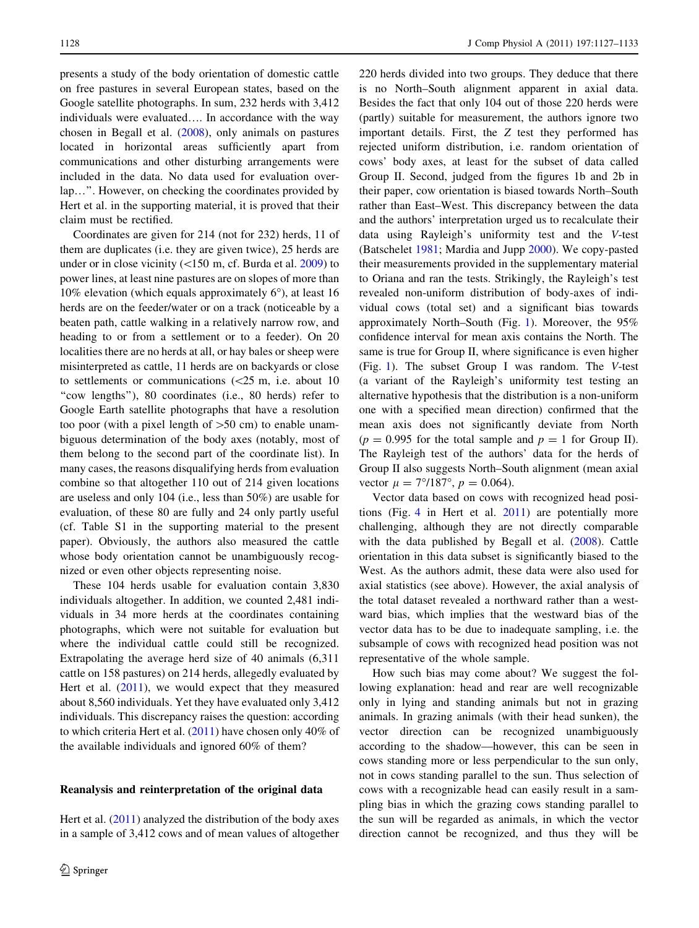presents a study of the body orientation of domestic cattle on free pastures in several European states, based on the Google satellite photographs. In sum, 232 herds with 3,412 individuals were evaluated…. In accordance with the way chosen in Begall et al. ([2008\)](#page-6-0), only animals on pastures located in horizontal areas sufficiently apart from communications and other disturbing arrangements were included in the data. No data used for evaluation overlap…''. However, on checking the coordinates provided by Hert et al. in the supporting material, it is proved that their claim must be rectified.

Coordinates are given for 214 (not for 232) herds, 11 of them are duplicates (i.e. they are given twice), 25 herds are under or in close vicinity  $(<150$  m, cf. Burda et al. [2009\)](#page-6-0) to power lines, at least nine pastures are on slopes of more than 10% elevation (which equals approximately  $6^{\circ}$ ), at least 16 herds are on the feeder/water or on a track (noticeable by a beaten path, cattle walking in a relatively narrow row, and heading to or from a settlement or to a feeder). On 20 localities there are no herds at all, or hay bales or sheep were misinterpreted as cattle, 11 herds are on backyards or close to settlements or communications  $\langle$  <25 m, i.e. about 10 "cow lengths"), 80 coordinates (i.e., 80 herds) refer to Google Earth satellite photographs that have a resolution too poor (with a pixel length of  $>50$  cm) to enable unambiguous determination of the body axes (notably, most of them belong to the second part of the coordinate list). In many cases, the reasons disqualifying herds from evaluation combine so that altogether 110 out of 214 given locations are useless and only 104 (i.e., less than 50%) are usable for evaluation, of these 80 are fully and 24 only partly useful (cf. Table S1 in the supporting material to the present paper). Obviously, the authors also measured the cattle whose body orientation cannot be unambiguously recognized or even other objects representing noise.

These 104 herds usable for evaluation contain 3,830 individuals altogether. In addition, we counted 2,481 individuals in 34 more herds at the coordinates containing photographs, which were not suitable for evaluation but where the individual cattle could still be recognized. Extrapolating the average herd size of 40 animals (6,311 cattle on 158 pastures) on 214 herds, allegedly evaluated by Hert et al.  $(2011)$  $(2011)$ , we would expect that they measured about 8,560 individuals. Yet they have evaluated only 3,412 individuals. This discrepancy raises the question: according to which criteria Hert et al. [\(2011](#page-6-0)) have chosen only 40% of the available individuals and ignored 60% of them?

# Reanalysis and reinterpretation of the original data

Hert et al. [\(2011](#page-6-0)) analyzed the distribution of the body axes in a sample of 3,412 cows and of mean values of altogether 220 herds divided into two groups. They deduce that there is no North–South alignment apparent in axial data. Besides the fact that only 104 out of those 220 herds were (partly) suitable for measurement, the authors ignore two important details. First, the Z test they performed has rejected uniform distribution, i.e. random orientation of cows' body axes, at least for the subset of data called Group II. Second, judged from the figures 1b and 2b in their paper, cow orientation is biased towards North–South rather than East–West. This discrepancy between the data and the authors' interpretation urged us to recalculate their data using Rayleigh's uniformity test and the V-test (Batschelet [1981](#page-6-0); Mardia and Jupp [2000](#page-6-0)). We copy-pasted their measurements provided in the supplementary material to Oriana and ran the tests. Strikingly, the Rayleigh's test revealed non-uniform distribution of body-axes of individual cows (total set) and a significant bias towards approximately North–South (Fig. [1](#page-2-0)). Moreover, the 95% confidence interval for mean axis contains the North. The same is true for Group II, where significance is even higher (Fig. [1\)](#page-2-0). The subset Group I was random. The V-test (a variant of the Rayleigh's uniformity test testing an alternative hypothesis that the distribution is a non-uniform one with a specified mean direction) confirmed that the mean axis does not significantly deviate from North  $(p = 0.995$  for the total sample and  $p = 1$  for Group II). The Rayleigh test of the authors' data for the herds of Group II also suggests North–South alignment (mean axial vector  $\mu = 7^{\circ}/187^{\circ}$ ,  $p = 0.064$ ).

Vector data based on cows with recognized head positions (Fig. [4](#page-5-0) in Hert et al. [2011\)](#page-6-0) are potentially more challenging, although they are not directly comparable with the data published by Begall et al. [\(2008](#page-6-0)). Cattle orientation in this data subset is significantly biased to the West. As the authors admit, these data were also used for axial statistics (see above). However, the axial analysis of the total dataset revealed a northward rather than a westward bias, which implies that the westward bias of the vector data has to be due to inadequate sampling, i.e. the subsample of cows with recognized head position was not representative of the whole sample.

How such bias may come about? We suggest the following explanation: head and rear are well recognizable only in lying and standing animals but not in grazing animals. In grazing animals (with their head sunken), the vector direction can be recognized unambiguously according to the shadow––however, this can be seen in cows standing more or less perpendicular to the sun only, not in cows standing parallel to the sun. Thus selection of cows with a recognizable head can easily result in a sampling bias in which the grazing cows standing parallel to the sun will be regarded as animals, in which the vector direction cannot be recognized, and thus they will be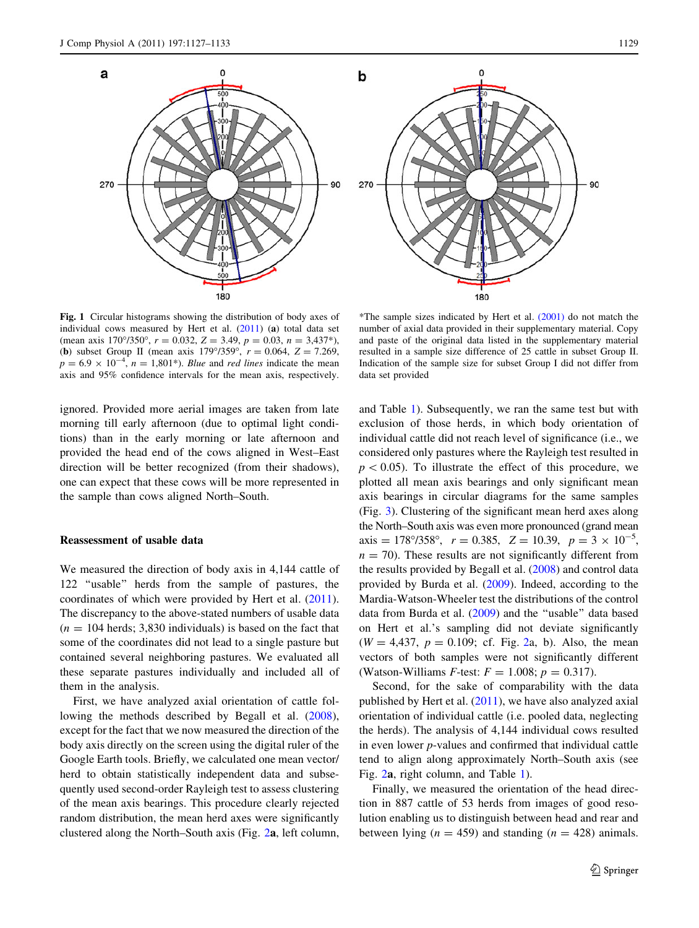<span id="page-2-0"></span>

Fig. 1 Circular histograms showing the distribution of body axes of individual cows measured by Hert et al. ([2011](#page-6-0)) (a) total data set (mean axis 170°/350°,  $r = 0.032$ ,  $Z = 3.49$ ,  $p = 0.03$ ,  $n = 3.437$ \*), (**b**) subset Group II (mean axis  $179^{\circ}/359^{\circ}$ ,  $r = 0.064$ ,  $Z = 7.269$ ,  $p = 6.9 \times 10^{-4}$ ,  $n = 1,801^*$ ). Blue and red lines indicate the mean axis and 95% confidence intervals for the mean axis, respectively.

ignored. Provided more aerial images are taken from late morning till early afternoon (due to optimal light conditions) than in the early morning or late afternoon and provided the head end of the cows aligned in West–East direction will be better recognized (from their shadows), one can expect that these cows will be more represented in the sample than cows aligned North–South.

#### Reassessment of usable data

We measured the direction of body axis in 4,144 cattle of 122 ''usable'' herds from the sample of pastures, the coordinates of which were provided by Hert et al. [\(2011](#page-6-0)). The discrepancy to the above-stated numbers of usable data  $(n = 104$  herds; 3,830 individuals) is based on the fact that some of the coordinates did not lead to a single pasture but contained several neighboring pastures. We evaluated all these separate pastures individually and included all of them in the analysis.

First, we have analyzed axial orientation of cattle following the methods described by Begall et al. [\(2008](#page-6-0)), except for the fact that we now measured the direction of the body axis directly on the screen using the digital ruler of the Google Earth tools. Briefly, we calculated one mean vector/ herd to obtain statistically independent data and subsequently used second-order Rayleigh test to assess clustering of the mean axis bearings. This procedure clearly rejected random distribution, the mean herd axes were significantly clustered along the North–South axis (Fig. [2](#page-3-0)a, left column,

\*The sample sizes indicated by Hert et al. [\(2001\)](#page-6-0) do not match the number of axial data provided in their supplementary material. Copy and paste of the original data listed in the supplementary material resulted in a sample size difference of 25 cattle in subset Group II. Indication of the sample size for subset Group I did not differ from data set provided

and Table [1\)](#page-4-0). Subsequently, we ran the same test but with exclusion of those herds, in which body orientation of individual cattle did not reach level of significance (i.e., we considered only pastures where the Rayleigh test resulted in  $p\lt0.05$ ). To illustrate the effect of this procedure, we plotted all mean axis bearings and only significant mean axis bearings in circular diagrams for the same samples (Fig. [3\)](#page-4-0). Clustering of the significant mean herd axes along the North–South axis was even more pronounced (grand mean axis = 178°/358°,  $r = 0.385$ ,  $Z = 10.39$ ,  $p = 3 \times 10^{-5}$ ,  $n = 70$ ). These results are not significantly different from the results provided by Begall et al. ([2008\)](#page-6-0) and control data provided by Burda et al. ([2009\)](#page-6-0). Indeed, according to the Mardia-Watson-Wheeler test the distributions of the control data from Burda et al. ([2009\)](#page-6-0) and the ''usable'' data based on Hert et al.'s sampling did not deviate significantly  $(W = 4,437, p = 0.109;$  cf. Fig. [2](#page-3-0)a, b). Also, the mean vectors of both samples were not significantly different (Watson-Williams *F*-test:  $F = 1.008$ ;  $p = 0.317$ ).

Second, for the sake of comparability with the data published by Hert et al.  $(2011)$  $(2011)$ , we have also analyzed axial orientation of individual cattle (i.e. pooled data, neglecting the herds). The analysis of 4,144 individual cows resulted in even lower p-values and confirmed that individual cattle tend to align along approximately North–South axis (see Fig. [2](#page-3-0)a, right column, and Table [1](#page-4-0)).

Finally, we measured the orientation of the head direction in 887 cattle of 53 herds from images of good resolution enabling us to distinguish between head and rear and between lying ( $n = 459$ ) and standing ( $n = 428$ ) animals.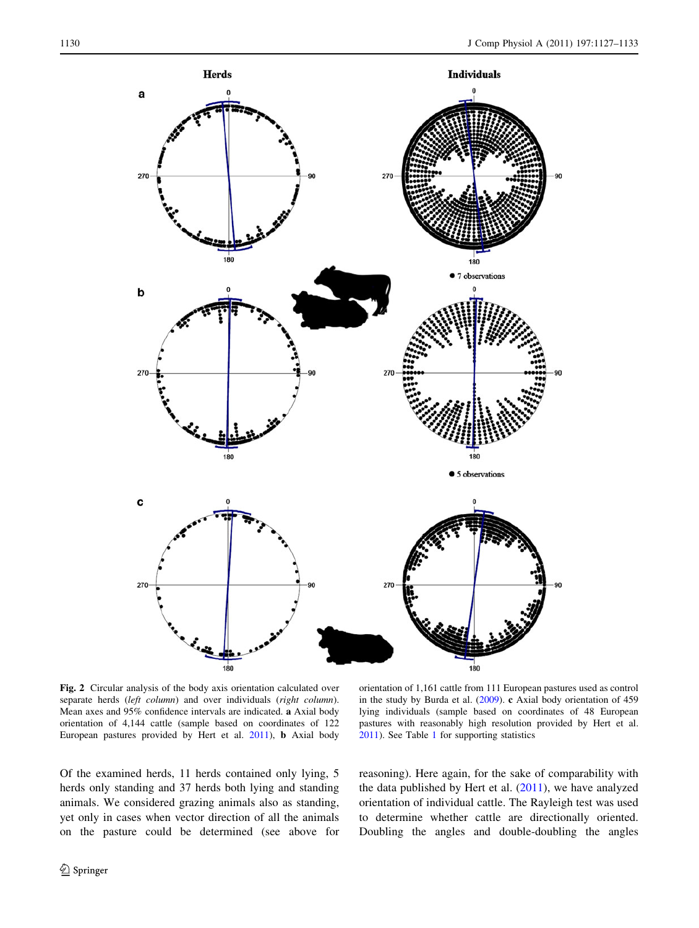<span id="page-3-0"></span>

Fig. 2 Circular analysis of the body axis orientation calculated over separate herds (left column) and over individuals (right column). Mean axes and 95% confidence intervals are indicated. a Axial body orientation of 4,144 cattle (sample based on coordinates of 122 European pastures provided by Hert et al. [2011\)](#page-6-0), b Axial body

orientation of 1,161 cattle from 111 European pastures used as control in the study by Burda et al. ([2009](#page-6-0)). c Axial body orientation of 459 lying individuals (sample based on coordinates of 48 European pastures with reasonably high resolution provided by Hert et al. [2011](#page-6-0)). See Table [1](#page-4-0) for supporting statistics

Of the examined herds, 11 herds contained only lying, 5 herds only standing and 37 herds both lying and standing animals. We considered grazing animals also as standing, yet only in cases when vector direction of all the animals on the pasture could be determined (see above for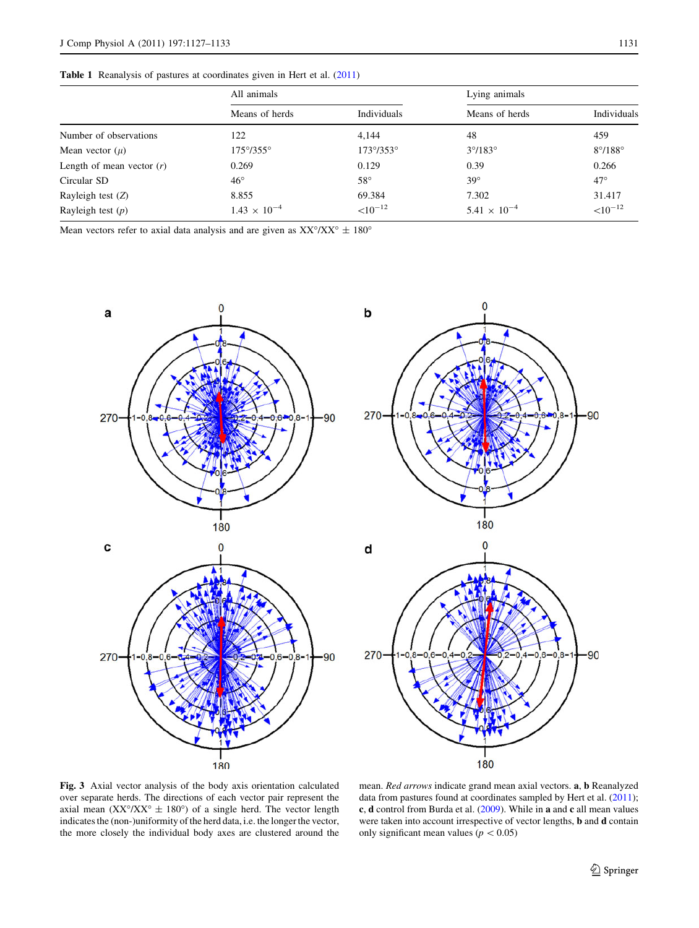<span id="page-4-0"></span>Table 1 Reanalysis of pastures at coordinates given in Hert et al. ([2011\)](#page-6-0)

| All animals               |                           | Lying animals           |                                    |
|---------------------------|---------------------------|-------------------------|------------------------------------|
| Means of herds            | Individuals               | Means of herds          | Individuals                        |
| 122                       | 4.144                     | 48                      | 459                                |
| $175^{\circ}/355^{\circ}$ | $173^{\circ}/353^{\circ}$ | $3^{\circ}/183^{\circ}$ | $8^{\circ}/188^{\circ}$            |
| 0.269                     | 0.129                     | 0.39                    | 0.266                              |
| $46^{\circ}$              | $58^{\circ}$              | $39^\circ$              | $47^\circ$                         |
| 8.855                     | 69.384                    | 7.302                   | 31.417                             |
| $1.43 \times 10^{-4}$     | $<$ 10 <sup>-12</sup>     | $5.41 \times 10^{-4}$   | $<$ 10 <sup><math>-12</math></sup> |
|                           |                           |                         |                                    |

Mean vectors refer to axial data analysis and are given as  $XX^{\circ}/XX^{\circ} \pm 180^{\circ}$ 





Fig. 3 Axial vector analysis of the body axis orientation calculated over separate herds. The directions of each vector pair represent the axial mean  $(XX^{\circ}/XX^{\circ} \pm 180^{\circ})$  of a single herd. The vector length indicates the (non-)uniformity of the herd data, i.e. the longer the vector, the more closely the individual body axes are clustered around the

mean. Red arrows indicate grand mean axial vectors. a, b Reanalyzed data from pastures found at coordinates sampled by Hert et al. [\(2011](#page-6-0)); c, d control from Burda et al. ([2009\)](#page-6-0). While in a and c all mean values were taken into account irrespective of vector lengths, b and d contain only significant mean values  $(p<0.05)$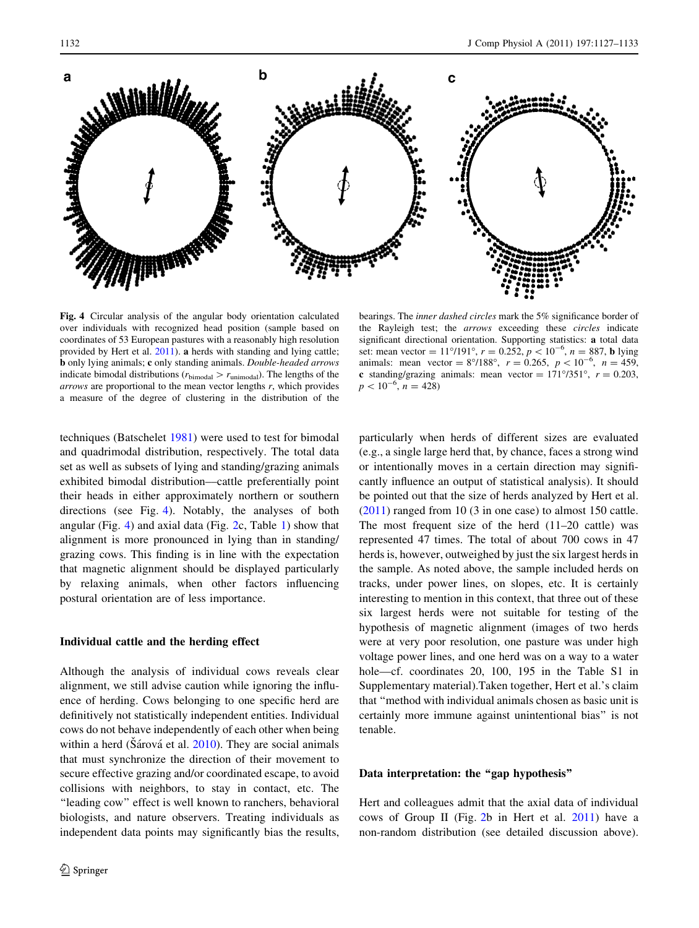<span id="page-5-0"></span>

Fig. 4 Circular analysis of the angular body orientation calculated over individuals with recognized head position (sample based on coordinates of 53 European pastures with a reasonably high resolution provided by Hert et al. [2011](#page-6-0)). a herds with standing and lying cattle; b only lying animals; c only standing animals. Double-headed arrows indicate bimodal distributions ( $r<sub>bimodal</sub> > r<sub>unimodal</sub>$ ). The lengths of the arrows are proportional to the mean vector lengths r, which provides a measure of the degree of clustering in the distribution of the

the Rayleigh test; the arrows exceeding these circles indicate significant directional orientation. Supporting statistics: a total data set: mean vector =  $11^{\circ}/191^{\circ}$ ,  $r = 0.252$ ,  $p < 10^{-6}$ ,  $n = 887$ , **b** lying animals: mean vector =  $8^{\circ}/188^{\circ}$ ,  $r = 0.265$ ,  $p < 10^{-6}$ ,  $n = 459$ , c standing/grazing animals: mean vector =  $171^{\circ}/351^{\circ}$ ,  $r = 0.203$ ,  $p < 10^{-6}$ ,  $n = 428$ )

techniques (Batschelet [1981\)](#page-6-0) were used to test for bimodal and quadrimodal distribution, respectively. The total data set as well as subsets of lying and standing/grazing animals exhibited bimodal distribution––cattle preferentially point their heads in either approximately northern or southern directions (see Fig. 4). Notably, the analyses of both angular (Fig. 4) and axial data (Fig. [2](#page-3-0)c, Table [1](#page-4-0)) show that alignment is more pronounced in lying than in standing/ grazing cows. This finding is in line with the expectation that magnetic alignment should be displayed particularly by relaxing animals, when other factors influencing postural orientation are of less importance.

#### Individual cattle and the herding effect

Although the analysis of individual cows reveals clear alignment, we still advise caution while ignoring the influence of herding. Cows belonging to one specific herd are definitively not statistically independent entities. Individual cows do not behave independently of each other when being within a herd (Sárová et al.  $2010$ ). They are social animals that must synchronize the direction of their movement to secure effective grazing and/or coordinated escape, to avoid collisions with neighbors, to stay in contact, etc. The "leading cow" effect is well known to ranchers, behavioral biologists, and nature observers. Treating individuals as independent data points may significantly bias the results,

particularly when herds of different sizes are evaluated (e.g., a single large herd that, by chance, faces a strong wind or intentionally moves in a certain direction may significantly influence an output of statistical analysis). It should be pointed out that the size of herds analyzed by Hert et al. [\(2011](#page-6-0)) ranged from 10 (3 in one case) to almost 150 cattle. The most frequent size of the herd (11–20 cattle) was represented 47 times. The total of about 700 cows in 47 herds is, however, outweighed by just the six largest herds in the sample. As noted above, the sample included herds on tracks, under power lines, on slopes, etc. It is certainly interesting to mention in this context, that three out of these six largest herds were not suitable for testing of the hypothesis of magnetic alignment (images of two herds were at very poor resolution, one pasture was under high voltage power lines, and one herd was on a way to a water hole—cf. coordinates 20, 100, 195 in the Table S1 in Supplementary material).Taken together, Hert et al.'s claim that ''method with individual animals chosen as basic unit is certainly more immune against unintentional bias'' is not tenable.

bearings. The inner dashed circles mark the 5% significance border of

# Data interpretation: the "gap hypothesis"

Hert and colleagues admit that the axial data of individual cows of Group II (Fig. [2b](#page-3-0) in Hert et al. [2011](#page-6-0)) have a non-random distribution (see detailed discussion above).